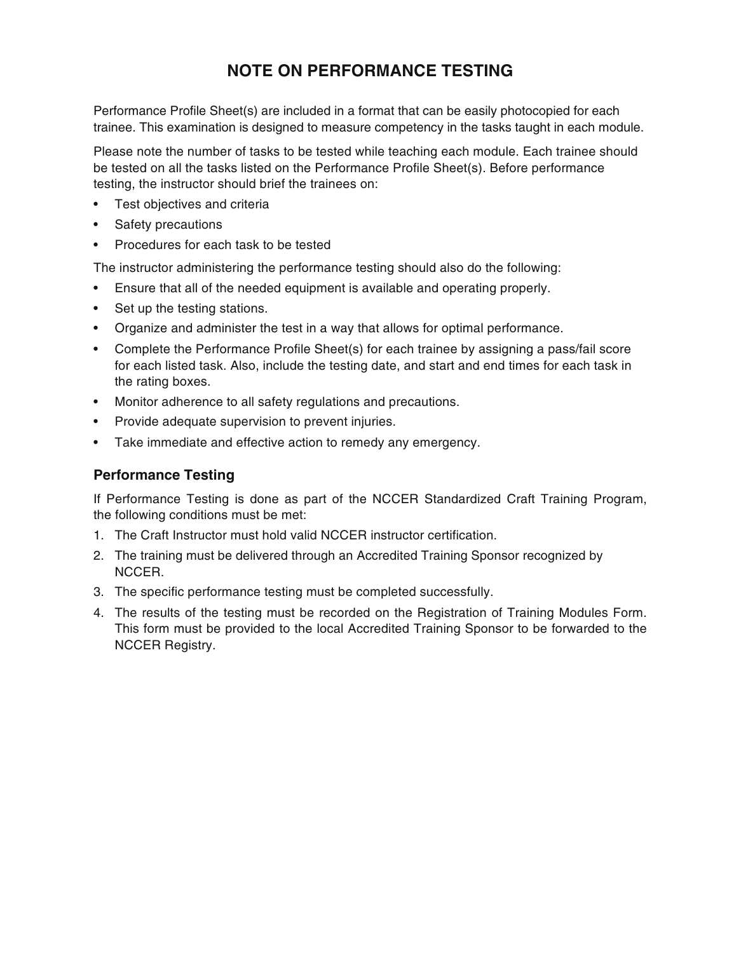#### **NOTE ON PERFORMANCE TESTING**

Performance Profile Sheet(s) are included in a format that can be easily photocopied for each trainee. This examination is designed to measure competency in the tasks taught in each module.

Please note the number of tasks to be tested while teaching each module. Each trainee should be tested on all the tasks listed on the Performance Profile Sheet(s). Before performance testing, the instructor should brief the trainees on:

- Test objectives and criteria
- Safety precautions
- Procedures for each task to be tested

The instructor administering the performance testing should also do the following:

- Ensure that all of the needed equipment is available and operating properly.
- Set up the testing stations.
- Organize and administer the test in a way that allows for optimal performance.
- Complete the Performance Profile Sheet(s) for each trainee by assigning a pass/fail score for each listed task. Also, include the testing date, and start and end times for each task in the rating boxes.
- Monitor adherence to all safety regulations and precautions.
- Provide adequate supervision to prevent injuries.
- Take immediate and effective action to remedy any emergency.

#### **Performance Testing**

If Performance Testing is done as part of the NCCER Standardized Craft Training Program, the following conditions must be met:

- 1. The Craft Instructor must hold valid NCCER instructor certification.
- 2. The training must be delivered through an Accredited Training Sponsor recognized by NCCER.
- 3. The specific performance testing must be completed successfully.
- 4. The results of the testing must be recorded on the Registration of Training Modules Form. This form must be provided to the local Accredited Training Sponsor to be forwarded to the NCCER Registry.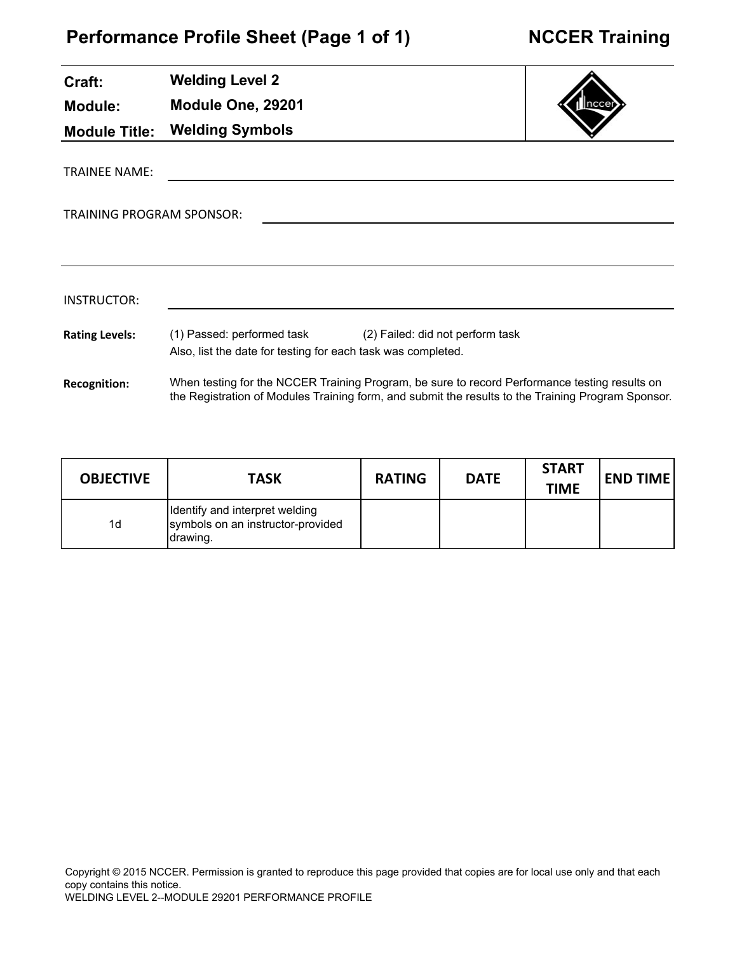| Craft:                           | <b>Welding Level 2</b>                                                                     |                                                                                                                                                                                                     |  |
|----------------------------------|--------------------------------------------------------------------------------------------|-----------------------------------------------------------------------------------------------------------------------------------------------------------------------------------------------------|--|
| <b>Module:</b>                   | Module One, 29201                                                                          |                                                                                                                                                                                                     |  |
| <b>Module Title:</b>             | <b>Welding Symbols</b>                                                                     |                                                                                                                                                                                                     |  |
| <b>TRAINEE NAME:</b>             |                                                                                            |                                                                                                                                                                                                     |  |
| <b>TRAINING PROGRAM SPONSOR:</b> |                                                                                            |                                                                                                                                                                                                     |  |
|                                  |                                                                                            |                                                                                                                                                                                                     |  |
| INSTRUCTOR:                      |                                                                                            |                                                                                                                                                                                                     |  |
| <b>Rating Levels:</b>            | (1) Passed: performed task<br>Also, list the date for testing for each task was completed. | (2) Failed: did not perform task                                                                                                                                                                    |  |
| <b>Recognition:</b>              |                                                                                            | When testing for the NCCER Training Program, be sure to record Performance testing results on<br>the Registration of Modules Training form, and submit the results to the Training Program Sponsor. |  |

| <b>OBJECTIVE</b> | <b>TASK</b>                                                                      | <b>RATING</b> | <b>DATE</b> | <b>START</b><br><b>TIME</b> | <b>END TIME</b> |
|------------------|----------------------------------------------------------------------------------|---------------|-------------|-----------------------------|-----------------|
| 1d               | Identify and interpret welding<br>symbols on an instructor-provided<br>Idrawing. |               |             |                             |                 |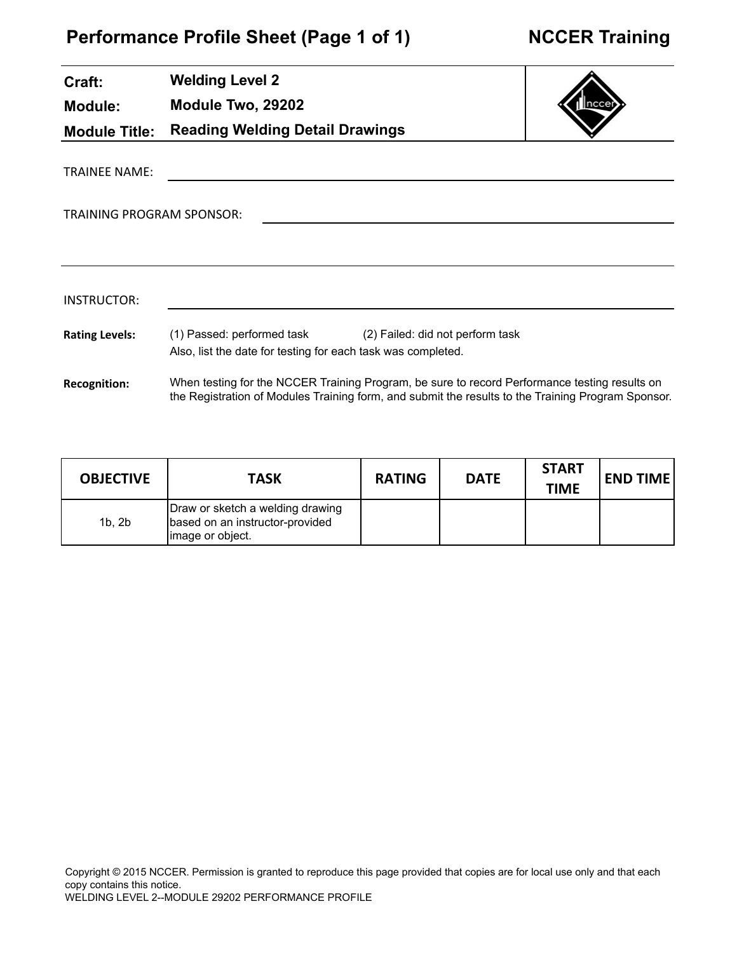J.

| Craft:                           | <b>Welding Level 2</b>                                                                                                                                                                              |  |
|----------------------------------|-----------------------------------------------------------------------------------------------------------------------------------------------------------------------------------------------------|--|
| <b>Module:</b>                   | Module Two, 29202                                                                                                                                                                                   |  |
| <b>Module Title:</b>             | <b>Reading Welding Detail Drawings</b>                                                                                                                                                              |  |
| <b>TRAINEE NAME:</b>             |                                                                                                                                                                                                     |  |
| <b>TRAINING PROGRAM SPONSOR:</b> |                                                                                                                                                                                                     |  |
|                                  |                                                                                                                                                                                                     |  |
|                                  |                                                                                                                                                                                                     |  |
| INSTRUCTOR:                      |                                                                                                                                                                                                     |  |
| <b>Rating Levels:</b>            | (1) Passed: performed task (2) Failed: did not perform task<br>Also, list the date for testing for each task was completed.                                                                         |  |
| <b>Recognition:</b>              | When testing for the NCCER Training Program, be sure to record Performance testing results on<br>the Registration of Modules Training form, and submit the results to the Training Program Sponsor. |  |

| <b>OBJECTIVE</b> | <b>TASK</b>                                                                              | <b>RATING</b> | <b>DATE</b> | <b>START</b><br><b>TIME</b> | <b>END TIME</b> |
|------------------|------------------------------------------------------------------------------------------|---------------|-------------|-----------------------------|-----------------|
| 1b.2b            | Draw or sketch a welding drawing<br>based on an instructor-provided<br>limage or object. |               |             |                             |                 |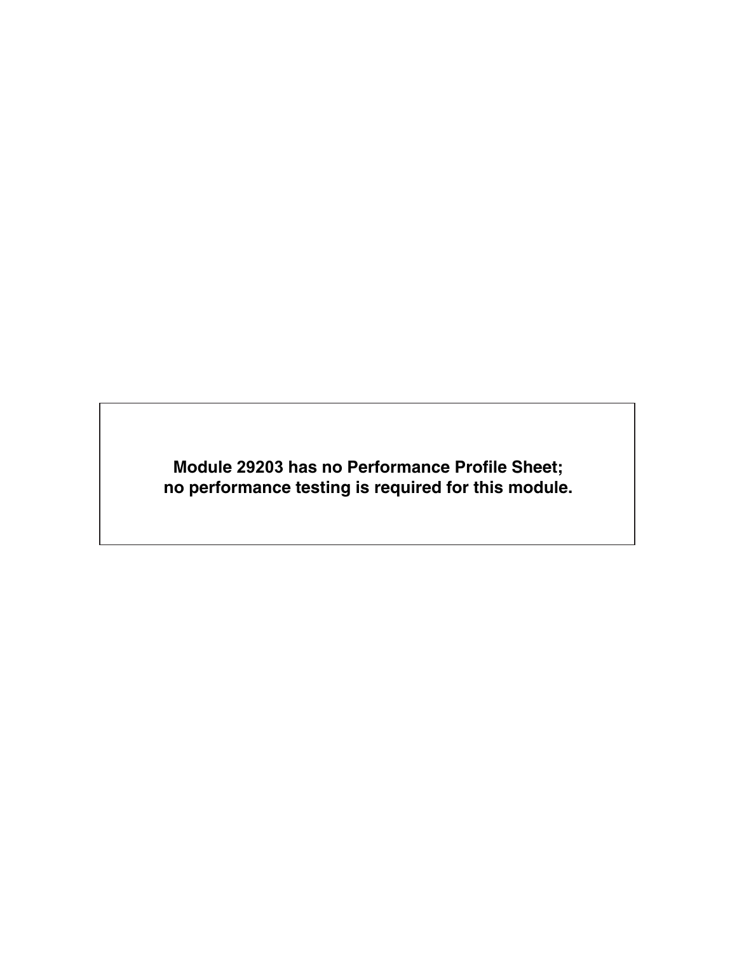**Module 29203 has no Performance Profile Sheet; no performance testing is required for this module.**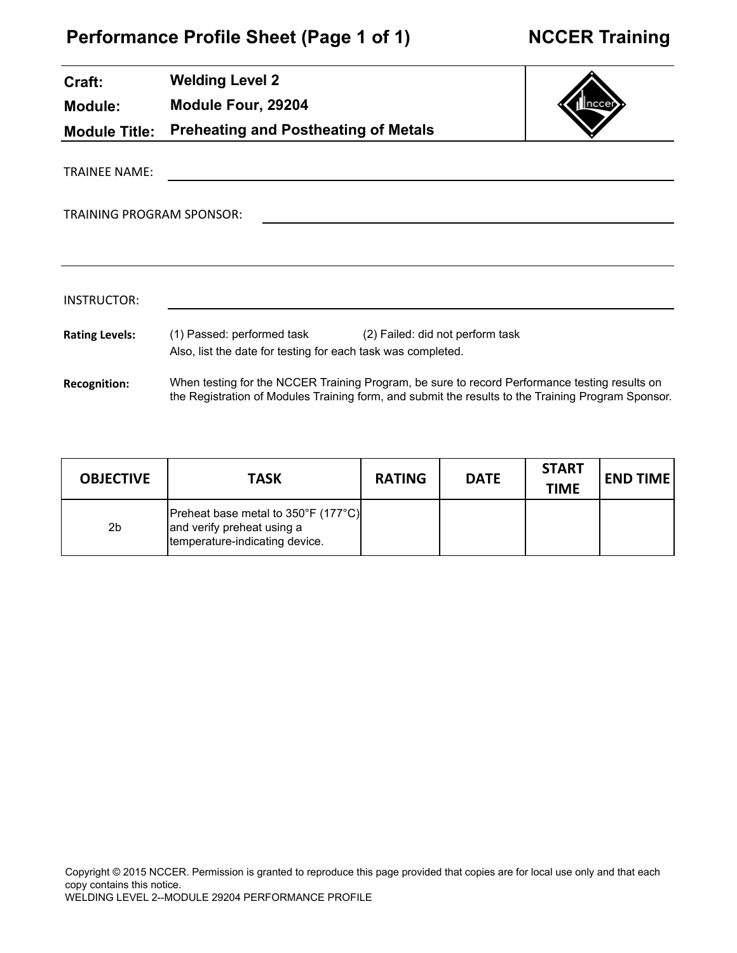# **Performance Profile Sheet (Page 1 of 1)**

| <b>NCCER Training</b> |  |
|-----------------------|--|
|-----------------------|--|

| Craft:                           | <b>Welding Level 2</b>                                                                                                      |  |
|----------------------------------|-----------------------------------------------------------------------------------------------------------------------------|--|
| Module:                          | Module Four, 29204                                                                                                          |  |
| <b>Module Title:</b>             | <b>Preheating and Postheating of Metals</b>                                                                                 |  |
| <b>TRAINEE NAME:</b>             |                                                                                                                             |  |
| <b>TRAINING PROGRAM SPONSOR:</b> |                                                                                                                             |  |
|                                  |                                                                                                                             |  |
| INSTRUCTOR:                      |                                                                                                                             |  |
| <b>Rating Levels:</b>            | (1) Passed: performed task (2) Failed: did not perform task<br>Also, list the date for testing for each task was completed. |  |
| <b>Recognition:</b>              | When testing for the NCCER Training Program, be sure to record Performance testing results on                               |  |

| <b>OBJECTIVE</b> | <b>TASK</b>                                                                                           | <b>RATING</b> | <b>DATE</b> | <b>START</b><br><b>TIME</b> | <b>END TIME</b> |
|------------------|-------------------------------------------------------------------------------------------------------|---------------|-------------|-----------------------------|-----------------|
| 2 <sub>b</sub>   | [Preheat base metal to 350°F (177°C)]<br>and verify preheat using a<br>temperature-indicating device. |               |             |                             |                 |

the Registration of Modules Training form, and submit the results to the Training Program Sponsor.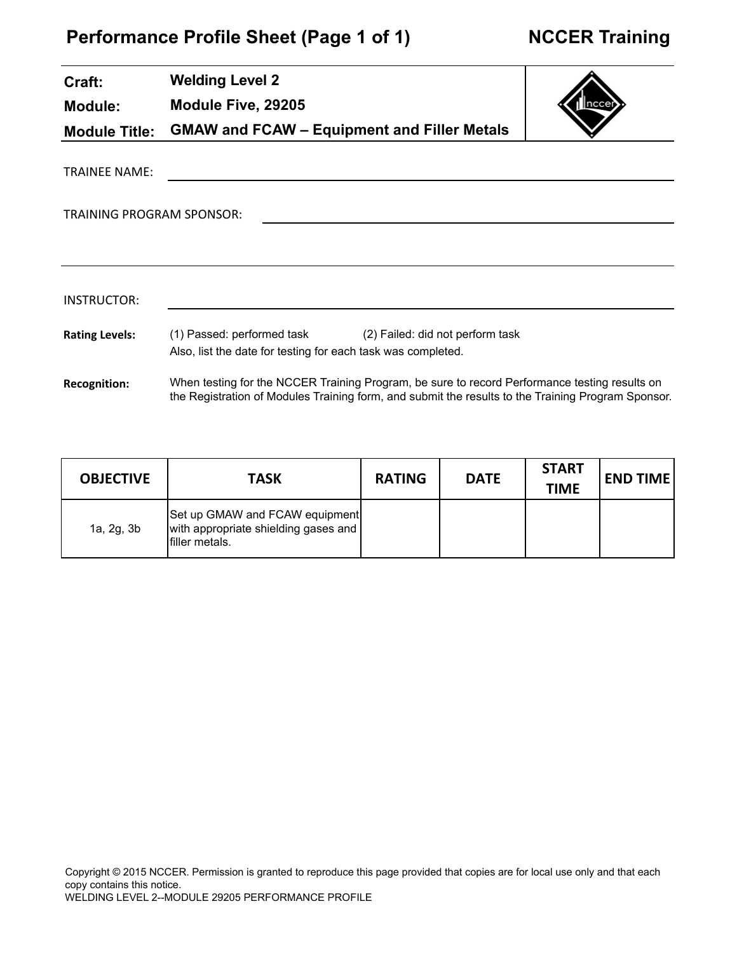| Craft:                    | <b>Welding Level 2</b>                                                                                                         |        |
|---------------------------|--------------------------------------------------------------------------------------------------------------------------------|--------|
| Module:                   | Module Five, 29205                                                                                                             | Inccer |
| <b>Module Title:</b>      | <b>GMAW and FCAW - Equipment and Filler Metals</b>                                                                             |        |
| TRAINEE NAME:             |                                                                                                                                |        |
| TRAINING PROGRAM SPONSOR: |                                                                                                                                |        |
|                           |                                                                                                                                |        |
| INSTRUCTOR:               |                                                                                                                                |        |
| <b>Rating Levels:</b>     | (1) Passed: performed task<br>(2) Failed: did not perform task<br>Also, list the date for testing for each task was completed. |        |
| <b>Recognition:</b>       | When testing for the NCCER Training Program, be sure to record Performance testing results on                                  |        |

| <b>OBJECTIVE</b> | <b>TASK</b>                                                                               | <b>RATING</b> | <b>DATE</b> | <b>START</b><br><b>TIME</b> | <b>END TIME</b> |
|------------------|-------------------------------------------------------------------------------------------|---------------|-------------|-----------------------------|-----------------|
| 1a, 2g, 3b       | Set up GMAW and FCAW equipment<br>with appropriate shielding gases and<br>Ifiller metals. |               |             |                             |                 |

the Registration of Modules Training form, and submit the results to the Training Program Sponsor.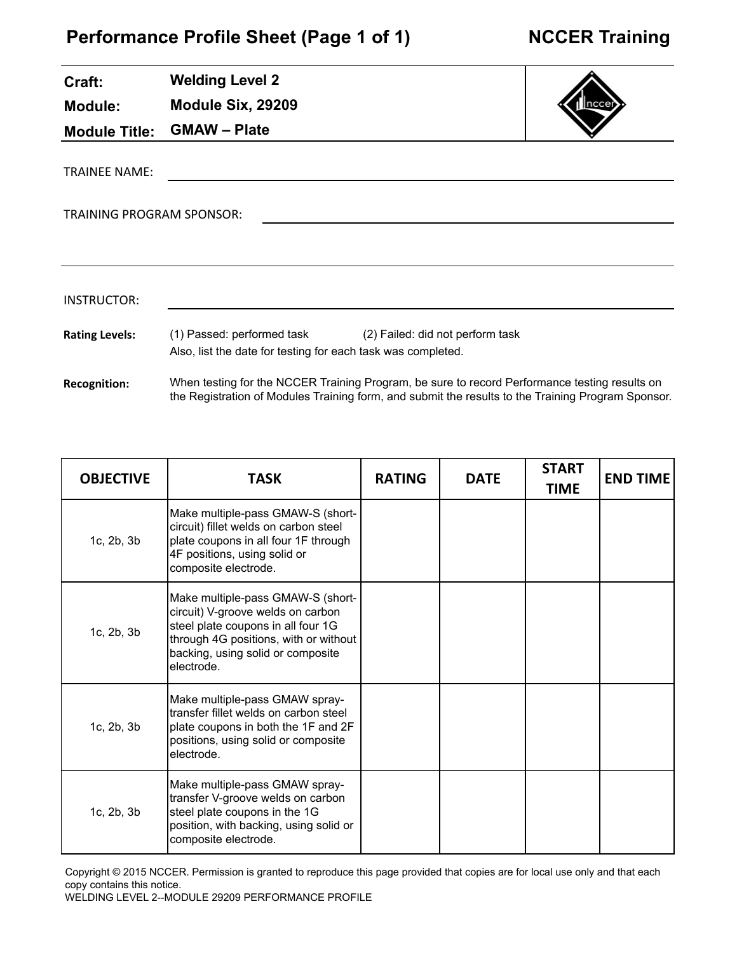| Craft:                    | <b>Welding Level 2</b>                                       |                                                                                               |  |
|---------------------------|--------------------------------------------------------------|-----------------------------------------------------------------------------------------------|--|
| Module:                   | Module Six, 29209                                            |                                                                                               |  |
| <b>Module Title:</b>      | <b>GMAW - Plate</b>                                          |                                                                                               |  |
| <b>TRAINEE NAME:</b>      |                                                              |                                                                                               |  |
| TRAINING PROGRAM SPONSOR: |                                                              |                                                                                               |  |
|                           |                                                              |                                                                                               |  |
| INSTRUCTOR:               |                                                              |                                                                                               |  |
| <b>Rating Levels:</b>     | Also, list the date for testing for each task was completed. | (1) Passed: performed task (2) Failed: did not perform task                                   |  |
| <b>Recognition:</b>       |                                                              | When testing for the NCCER Training Program, be sure to record Performance testing results on |  |

the Registration of Modules Training form, and submit the results to the Training Program Sponsor.

| <b>OBJECTIVE</b> | <b>TASK</b>                                                                                                                                                                                              | <b>RATING</b> | <b>DATE</b> | <b>START</b><br><b>TIME</b> | <b>END TIME</b> |
|------------------|----------------------------------------------------------------------------------------------------------------------------------------------------------------------------------------------------------|---------------|-------------|-----------------------------|-----------------|
| 1c, 2b, 3b       | Make multiple-pass GMAW-S (short-<br>circuit) fillet welds on carbon steel<br>plate coupons in all four 1F through<br>4F positions, using solid or<br>composite electrode.                               |               |             |                             |                 |
| 1c, 2b, 3b       | Make multiple-pass GMAW-S (short-<br>circuit) V-groove welds on carbon<br>steel plate coupons in all four 1G<br>through 4G positions, with or without<br>backing, using solid or composite<br>electrode. |               |             |                             |                 |
| 1c, 2b, 3b       | Make multiple-pass GMAW spray-<br>Itransfer fillet welds on carbon steel<br>plate coupons in both the 1F and 2F<br>positions, using solid or composite<br>electrode.                                     |               |             |                             |                 |
| 1c, 2b, 3b       | Make multiple-pass GMAW spray-<br>transfer V-groove welds on carbon<br>steel plate coupons in the 1G<br>position, with backing, using solid or<br>composite electrode.                                   |               |             |                             |                 |

Copyright © 2015 NCCER. Permission is granted to reproduce this page provided that copies are for local use only and that each copy contains this notice.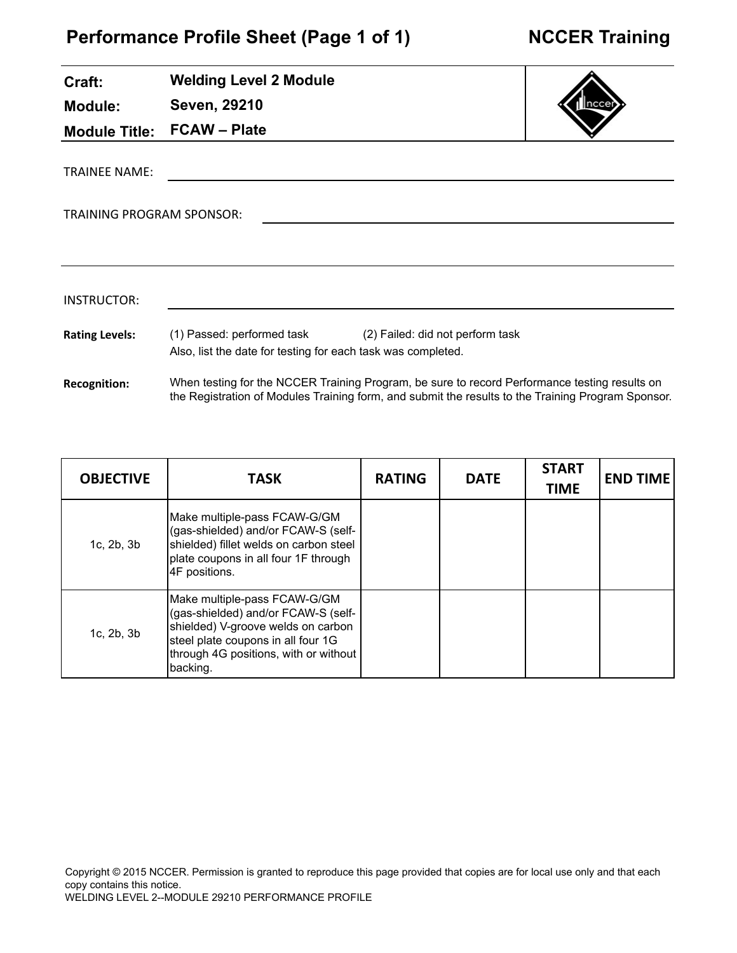L.

| Craft:                    | <b>Welding Level 2 Module</b>                                                                                               |  |
|---------------------------|-----------------------------------------------------------------------------------------------------------------------------|--|
| <b>Module:</b>            | Seven, 29210                                                                                                                |  |
|                           | Module Title: FCAW - Plate                                                                                                  |  |
| <b>TRAINEE NAME:</b>      |                                                                                                                             |  |
| TRAINING PROGRAM SPONSOR: |                                                                                                                             |  |
|                           |                                                                                                                             |  |
| <b>INSTRUCTOR:</b>        |                                                                                                                             |  |
| <b>Rating Levels:</b>     | (1) Passed: performed task (2) Failed: did not perform task<br>Also, list the date for testing for each task was completed. |  |

**Recognition:** When testing for the NCCER Training Program, be sure to record Performance testing results on the Registration of Modules Training form, and submit the results to the Training Program Sponsor.

| <b>OBJECTIVE</b>   | <b>TASK</b>                                                                                                                                                                                          | <b>RATING</b> | <b>DATE</b> | <b>START</b><br><b>TIME</b> | <b>END TIME</b> |
|--------------------|------------------------------------------------------------------------------------------------------------------------------------------------------------------------------------------------------|---------------|-------------|-----------------------------|-----------------|
| 1c, 2b, 3b         | Make multiple-pass FCAW-G/GM<br>(gas-shielded) and/or FCAW-S (self-<br>shielded) fillet welds on carbon steel<br>plate coupons in all four 1F through<br>4F positions.                               |               |             |                             |                 |
| $1c$ , $2b$ , $3b$ | Make multiple-pass FCAW-G/GM<br>(gas-shielded) and/or FCAW-S (self-<br>shielded) V-groove welds on carbon<br>steel plate coupons in all four 1G<br>through 4G positions, with or without<br>backing. |               |             |                             |                 |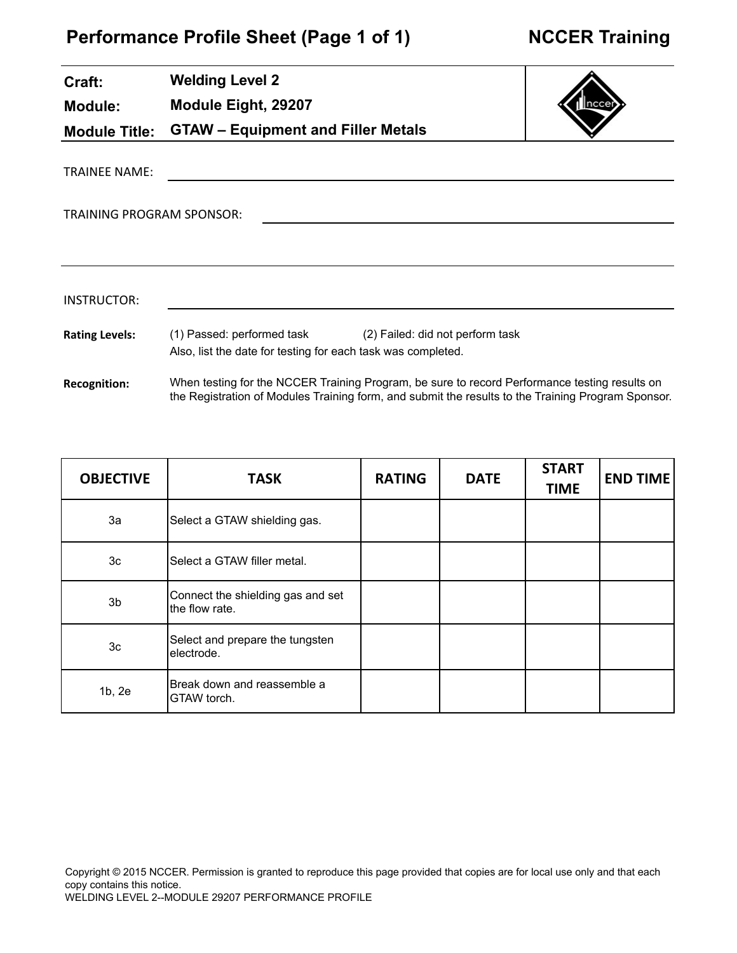# **Performance Profile Sheet (Page 1 of 1)**

| Craft:                           | <b>Welding Level 2</b>                                       |                                                                                                                                                                                                     |  |
|----------------------------------|--------------------------------------------------------------|-----------------------------------------------------------------------------------------------------------------------------------------------------------------------------------------------------|--|
| <b>Module:</b>                   | Module Eight, 29207                                          |                                                                                                                                                                                                     |  |
| <b>Module Title:</b>             | <b>GTAW - Equipment and Filler Metals</b>                    |                                                                                                                                                                                                     |  |
| <b>TRAINEE NAME:</b>             |                                                              |                                                                                                                                                                                                     |  |
| <b>TRAINING PROGRAM SPONSOR:</b> |                                                              |                                                                                                                                                                                                     |  |
|                                  |                                                              |                                                                                                                                                                                                     |  |
| INSTRUCTOR:                      |                                                              |                                                                                                                                                                                                     |  |
| <b>Rating Levels:</b>            | Also, list the date for testing for each task was completed. | (1) Passed: performed task (2) Failed: did not perform task                                                                                                                                         |  |
| <b>Recognition:</b>              |                                                              | When testing for the NCCER Training Program, be sure to record Performance testing results on<br>the Registration of Modules Training form, and submit the results to the Training Program Sponsor. |  |

| <b>OBJECTIVE</b> | <b>TASK</b>                                         | <b>RATING</b> | <b>DATE</b> | <b>START</b><br><b>TIME</b> | <b>END TIME</b> |
|------------------|-----------------------------------------------------|---------------|-------------|-----------------------------|-----------------|
| За               | Select a GTAW shielding gas.                        |               |             |                             |                 |
| 3 <sub>c</sub>   | Select a GTAW filler metal.                         |               |             |                             |                 |
| 3b               | Connect the shielding gas and set<br>the flow rate. |               |             |                             |                 |
| 3c               | Select and prepare the tungsten<br>electrode.       |               |             |                             |                 |
| 1b, 2e           | Break down and reassemble a<br>GTAW torch.          |               |             |                             |                 |

Copyright © 2015 NCCER. Permission is granted to reproduce this page provided that copies are for local use only and that each copy contains this notice. WELDING LEVEL 2--MODULE 29207 PERFORMANCE PROFILE